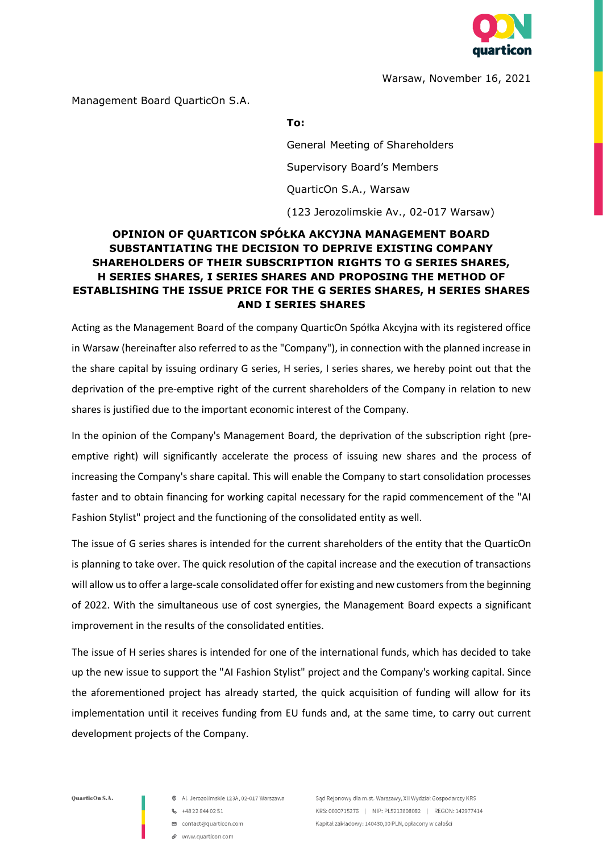

Warsaw, November 16, 2021

Management Board QuarticOn S.A.

## **To:**

General Meeting of Shareholders Supervisory Board's Members QuarticOn S.A., Warsaw (123 Jerozolimskie Av., 02-017 Warsaw)

## **OPINION OF QUARTICON SPÓŁKA AKCYJNA MANAGEMENT BOARD SUBSTANTIATING THE DECISION TO DEPRIVE EXISTING COMPANY SHAREHOLDERS OF THEIR SUBSCRIPTION RIGHTS TO G SERIES SHARES, H SERIES SHARES, I SERIES SHARES AND PROPOSING THE METHOD OF ESTABLISHING THE ISSUE PRICE FOR THE G SERIES SHARES, H SERIES SHARES AND I SERIES SHARES**

Acting as the Management Board of the company QuarticOn Spółka Akcyjna with its registered office in Warsaw (hereinafter also referred to as the "Company"), in connection with the planned increase in the share capital by issuing ordinary G series, H series, I series shares, we hereby point out that the deprivation of the pre-emptive right of the current shareholders of the Company in relation to new shares is justified due to the important economic interest of the Company.

In the opinion of the Company's Management Board, the deprivation of the subscription right (preemptive right) will significantly accelerate the process of issuing new shares and the process of increasing the Company's share capital. This will enable the Company to start consolidation processes faster and to obtain financing for working capital necessary for the rapid commencement of the "AI Fashion Stylist" project and the functioning of the consolidated entity as well.

The issue of G series shares is intended for the current shareholders of the entity that the QuarticOn is planning to take over. The quick resolution of the capital increase and the execution of transactions will allow us to offer a large-scale consolidated offer for existing and new customers from the beginning of 2022. With the simultaneous use of cost synergies, the Management Board expects a significant improvement in the results of the consolidated entities.

The issue of H series shares is intended for one of the international funds, which has decided to take up the new issue to support the "AI Fashion Stylist" project and the Company's working capital. Since the aforementioned project has already started, the quick acquisition of funding will allow for its implementation until it receives funding from EU funds and, at the same time, to carry out current development projects of the Company.

OuarticOn S.A.

- Al. Jerozolimskie 123A, 02-017 Warszawa
- $-148228440251$
- □ contact@quarticon.com
- e www.quarticon.com